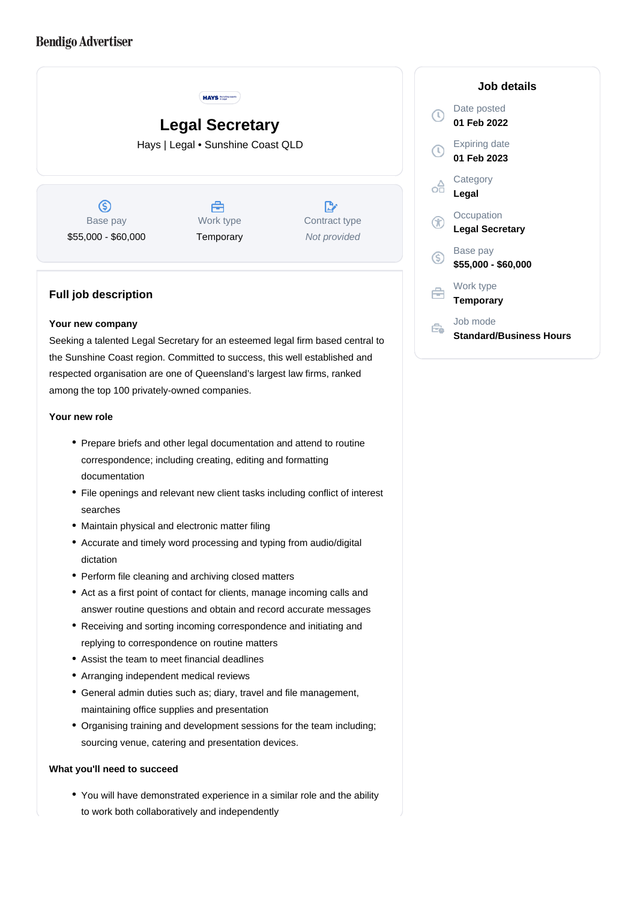# **Bendigo Advertiser**



## **Full job description**

#### **Your new company**

Seeking a talented Legal Secretary for an esteemed legal firm based central to the Sunshine Coast region. Committed to success, this well established and respected organisation are one of Queensland's largest law firms, ranked among the top 100 privately-owned companies.

#### **Your new role**

- Prepare briefs and other legal documentation and attend to routine correspondence; including creating, editing and formatting documentation
- File openings and relevant new client tasks including conflict of interest searches
- Maintain physical and electronic matter filing
- Accurate and timely word processing and typing from audio/digital dictation
- Perform file cleaning and archiving closed matters
- Act as a first point of contact for clients, manage incoming calls and answer routine questions and obtain and record accurate messages
- Receiving and sorting incoming correspondence and initiating and replying to correspondence on routine matters
- Assist the team to meet financial deadlines
- Arranging independent medical reviews
- General admin duties such as; diary, travel and file management, maintaining office supplies and presentation
- Organising training and development sessions for the team including; sourcing venue, catering and presentation devices.

#### **What you'll need to succeed**

You will have demonstrated experience in a similar role and the ability to work both collaboratively and independently

# **Job details** Date posted **01 Feb 2022** Expiring date **01 Feb 2023 Category Legal Occupation Legal Secretary** Base pay **\$55,000 - \$60,000** Work type **Temporary** Job mode

Ê. **Standard/Business Hours**